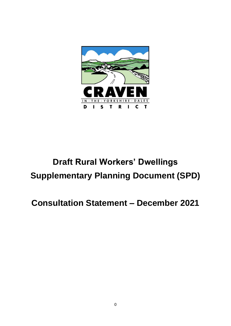

# **Draft Rural Workers' Dwellings Supplementary Planning Document (SPD)**

## **Consultation Statement – December 2021**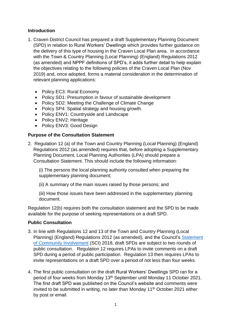### **Introduction**

- 1. Craven District Council has prepared a draft Supplementary Planning Document (SPD) in relation to Rural Workers' Dwellings which provides further guidance on the delivery of this type of housing in the Craven Local Plan area. In accordance with the Town & Country Planning (Local Planning) (England) Regulations 2012 (as amended) and NPPF definitions of SPD's, it adds further detail to help explain the objectives relating to the following policies of the Craven Local Plan (Nov 2019) and, once adopted, forms a material consideration in the determination of relevant planning applications:
	- Policy EC3: Rural Economy
	- Policy SD1: Presumption in favour of sustainable development
	- Policy SD2: Meeting the Challenge of Climate Change
	- Policy SP4: Spatial strategy and housing growth.
	- Policy ENV1: Countryside and Landscape
	- Policy ENV2: Heritage
	- Policy ENV3: Good Design

#### **Purpose of the Consultation Statement**

2. Regulation 12 (a) of the Town and Country Planning (Local Planning) (England) Regulations 2012 (as amended) requires that, before adopting a Supplementary Planning Document, Local Planning Authorities (LPA) should prepare a Consultation Statement. This should include the following information:

(i) The persons the local planning authority consulted when preparing the supplementary planning document;

(ii) A summary of the main issues raised by those persons; and

(iii) How those issues have been addressed in the supplementary planning document.

Regulation 12(b) requires both the consultation statement and the SPD to be made available for the purpose of seeking representations on a draft SPD.

#### **Public Consultation**

- 3. In line with Regulations 12 and 13 of the Town and Country Planning (Local Planning) (England) Regulations 2012 (as amended), and the Council's [Statement](https://www.cravendc.gov.uk/planning/statement-of-community-involvement/)  [of Community Involvement](https://www.cravendc.gov.uk/planning/statement-of-community-involvement/) (SCI) 2018, draft SPDs are subject to two rounds of public consultation. Regulation 12 requires LPAs to invite comments on a draft SPD during a period of public participation. Regulation 13 then requires LPAs to invite representations on a draft SPD over a period of not less than four weeks.
- 4. The first public consultation on the draft Rural Workers' Dwellings SPD ran for a period of four weeks from Monday 13<sup>th</sup> September until Monday 11 October 2021. The first draft SPD was published on the Council's website and comments were invited to be submitted in writing, no later than Monday  $11<sup>th</sup>$  October 2021 either by post or email.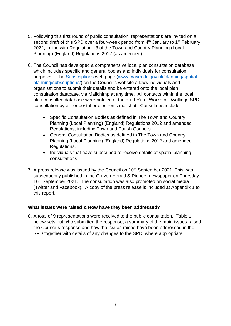- 5. Following this first round of public consultation, representations are invited on a second draft of this SPD over a four-week period from 4<sup>th</sup> January to 1<sup>st</sup> February 2022, in line with Regulation 13 of the Town and Country Planning (Local Planning) (England) Regulations 2012 (as amended).
- 6. The Council has developed a comprehensive local plan consultation database which includes specific and general bodies and individuals for consultation purposes. The [Subscriptions](https://www.cravendc.gov.uk/planning/spatial-planning/subscriptions/) web page [\(www.cravendc.gov.uk/planning/spatial](http://www.cravendc.gov.uk/planning/spatial-planning/subscriptions/)[planning/subscriptions/\)](http://www.cravendc.gov.uk/planning/spatial-planning/subscriptions/) on the Council's website allows individuals and organisations to submit their details and be entered onto the local plan consultation database, via Mailchimp at any time. All contacts within the local plan consultee database were notified of the draft Rural Workers' Dwellings SPD consultation by either postal or electronic mailshot. Consultees include:
	- Specific Consultation Bodies as defined in The Town and Country Planning (Local Planning) (England) Regulations 2012 and amended Regulations, including Town and Parish Councils
	- General Consultation Bodies as defined in The Town and Country Planning (Local Planning) (England) Regulations 2012 and amended Regulations.
	- Individuals that have subscribed to receive details of spatial planning consultations.
- 7. A press release was issued by the Council on  $10<sup>th</sup>$  September 2021. This was subsequently published in the Craven Herald & Pioneer newspaper on Thursday 16<sup>th</sup> September 2021. The consultation was also promoted on social media (Twitter and Facebook). A copy of the press release is included at Appendix 1 to this report.

#### **What issues were raised & How have they been addressed?**

8. A total of 9 representations were received to the public consultation. Table 1 below sets out who submitted the response, a summary of the main issues raised, the Council's response and how the issues raised have been addressed in the SPD together with details of any changes to the SPD, where appropriate.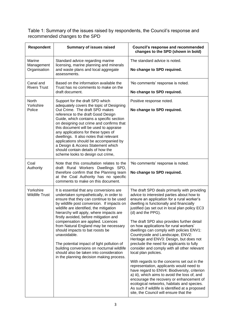Table 1: Summary of the issues raised by respondents, the Council's response and recommended changes to the SPD

| Respondent                         | <b>Summary of issues raised</b>                                                                                                                                                                                                                                                                                                                                                                                                                                                                                                                                                                                                    | <b>Council's response and recommended</b><br>changes to the SPD (shown in bold)                                                                                                                                                                                                                                                                                                                                                                                                                                                                                                                                                                                                                                                                                                                                                                                                                                                                                                      |
|------------------------------------|------------------------------------------------------------------------------------------------------------------------------------------------------------------------------------------------------------------------------------------------------------------------------------------------------------------------------------------------------------------------------------------------------------------------------------------------------------------------------------------------------------------------------------------------------------------------------------------------------------------------------------|--------------------------------------------------------------------------------------------------------------------------------------------------------------------------------------------------------------------------------------------------------------------------------------------------------------------------------------------------------------------------------------------------------------------------------------------------------------------------------------------------------------------------------------------------------------------------------------------------------------------------------------------------------------------------------------------------------------------------------------------------------------------------------------------------------------------------------------------------------------------------------------------------------------------------------------------------------------------------------------|
| Marine<br>Management               | Standard advice regarding marine<br>licensing, marine planning and minerals<br>and waste plans and local aggregate<br>Organisation<br>assessments.                                                                                                                                                                                                                                                                                                                                                                                                                                                                                 | The standard advice is noted.                                                                                                                                                                                                                                                                                                                                                                                                                                                                                                                                                                                                                                                                                                                                                                                                                                                                                                                                                        |
|                                    |                                                                                                                                                                                                                                                                                                                                                                                                                                                                                                                                                                                                                                    | No change to SPD required.                                                                                                                                                                                                                                                                                                                                                                                                                                                                                                                                                                                                                                                                                                                                                                                                                                                                                                                                                           |
| Canal and<br><b>Rivers Trust</b>   | Based on the information available the<br>Trust has no comments to make on the                                                                                                                                                                                                                                                                                                                                                                                                                                                                                                                                                     | 'No comments' response is noted.                                                                                                                                                                                                                                                                                                                                                                                                                                                                                                                                                                                                                                                                                                                                                                                                                                                                                                                                                     |
|                                    | draft document.                                                                                                                                                                                                                                                                                                                                                                                                                                                                                                                                                                                                                    | No change to SPD required.                                                                                                                                                                                                                                                                                                                                                                                                                                                                                                                                                                                                                                                                                                                                                                                                                                                                                                                                                           |
| North<br>Yorkshire<br>Police       | Support for the draft SPD which<br>adequately covers the topic of Designing<br>Out Crime. The draft SPD makes<br>reference to the draft Good Design<br>Guide, which contains a specific section<br>on designing out crime and confirms that<br>this document will be used to appraise<br>any applications for these types of<br>dwellings. It also notes that relevant<br>applications should be accompanied by<br>a Design & Access Statement which<br>should contain details of how the<br>scheme looks to design out crime,                                                                                                     | Positive response noted.<br>No change to SPD required.                                                                                                                                                                                                                                                                                                                                                                                                                                                                                                                                                                                                                                                                                                                                                                                                                                                                                                                               |
| Coal<br>Authority                  | Note that this consultation relates to the<br>draft Rural Workers Dwellings SPD,<br>therefore confirm that the Planning team<br>at the Coal Authority has no specific<br>comments to make on this document.                                                                                                                                                                                                                                                                                                                                                                                                                        | 'No comments' response is noted.<br>No change to SPD required.                                                                                                                                                                                                                                                                                                                                                                                                                                                                                                                                                                                                                                                                                                                                                                                                                                                                                                                       |
| Yorkshire<br><b>Wildlife Trust</b> | It is essential that any conversions are<br>undertaken sympathetically, in order to<br>ensure that they can continue to be used<br>by wildlife post conversion. If impacts on<br>wildlife are identified, the mitigation<br>hierarchy will apply, where impacts are<br>firstly avoided, before mitigation and<br>compensation are applied. Licences<br>from Natural England may be necessary<br>should impacts to bat roosts be<br>unavoidable.<br>The potential impact of light pollution of<br>building conversions on nocturnal wildlife<br>should also be taken into consideration<br>in the planning decision making process. | The draft SPD deals primarily with providing<br>advice to interested parties about how to<br>ensure an application for a rural worker's<br>dwelling is functionally and financially<br>justified (as set out in local plan policy EC3<br>(d) and the PPG).<br>The draft SPD also provides further detail<br>on how applications for rural workers'<br>dwellings can comply with policies ENV1:<br>Countryside and Landscape, ENV2:<br>Heritage and ENV3: Design, but does not<br>preclude the need for applicants to fully<br>consider and comply with all other relevant<br>local plan policies.<br>With regards to the concerns set out in the<br>representation, applicants would need to<br>have regard to ENV4: Biodiversity, criterion<br>a) iii), which aims to avoid the loss of, and<br>encourage the recovery or enhancement of<br>ecological networks, habitats and species.<br>As such if wildlife is identified at a proposed<br>site, the Council will ensure that the |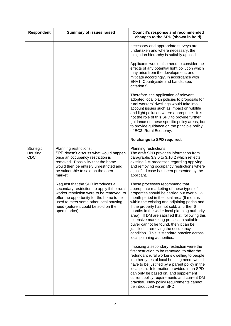| <b>Respondent</b>            | <b>Summary of issues raised</b>                                                                                                                                                                                                                                              | <b>Council's response and recommended</b><br>changes to the SPD (shown in bold)                                                                                                                                                                                                                                                                                                                                                                                                                                                                                                |
|------------------------------|------------------------------------------------------------------------------------------------------------------------------------------------------------------------------------------------------------------------------------------------------------------------------|--------------------------------------------------------------------------------------------------------------------------------------------------------------------------------------------------------------------------------------------------------------------------------------------------------------------------------------------------------------------------------------------------------------------------------------------------------------------------------------------------------------------------------------------------------------------------------|
|                              |                                                                                                                                                                                                                                                                              | necessary and appropriate surveys are<br>undertaken and where necessary, the<br>mitigation hierarchy is suitably applied.                                                                                                                                                                                                                                                                                                                                                                                                                                                      |
|                              |                                                                                                                                                                                                                                                                              | Applicants would also need to consider the<br>effects of any potential light pollution which<br>may arise from the development, and<br>mitigate accordingly, in accordance with<br>ENV1: Countryside and Landscape,<br>criterion f).                                                                                                                                                                                                                                                                                                                                           |
|                              |                                                                                                                                                                                                                                                                              | Therefore, the application of relevant<br>adopted local plan policies to proposals for<br>rural workers' dwellings would take into<br>account issues such as impact on wildlife<br>and light pollution where appropriate. It is<br>not the role of this SPD to provide further<br>guidance on these specific policy areas, but<br>to provide guidance on the principle policy<br>of EC3: Rural Economy.                                                                                                                                                                        |
|                              |                                                                                                                                                                                                                                                                              | No change to SPD required.                                                                                                                                                                                                                                                                                                                                                                                                                                                                                                                                                     |
| Strategic<br>Housing,<br>CDC | Planning restrictions:<br>SPD doesn't discuss what would happen<br>once an occupancy restriction is<br>removed. Possibility that the home<br>would then be entirely unrestricted and<br>be vulnerable to sale on the open<br>market.                                         | Planning restrictions:<br>The draft SPD provides information from<br>paragraphs 3.9.0 to 3.10.2 which reflects<br>existing DM processes regarding applying<br>and removing occupancy restrictions where<br>a justified case has been presented by the<br>applicant.                                                                                                                                                                                                                                                                                                            |
|                              | Request that the SPD introduces a<br>secondary restriction, to apply if the rural<br>worker restriction were to be removed, to<br>offer the opportunity for the home to be<br>used to meet some other local housing<br>need (before it could be sold on the<br>open market). | These processes recommend that<br>appropriate marketing of these types of<br>properties should be carried out over a 12-<br>month period in the local area (6 months<br>within the existing and adjoining parish and,<br>if the property has not sold, a further 6<br>months in the wider local planning authority<br>area). If DM are satisfied that, following this<br>extensive marketing process, a suitable<br>buyer cannot be found, then it can be<br>justified in removing the occupancy<br>condition. This is standard practice across<br>local planning authorities. |
|                              |                                                                                                                                                                                                                                                                              | Imposing a secondary restriction were the<br>first restriction to be removed, to offer the<br>redundant rural worker's dwelling to people<br>in other types of local housing need, would<br>have to be justified by a parent policy in the<br>local plan. Information provided in an SPD<br>can only be based on, and supplement<br>current policy requirements and current DM<br>practise. New policy requirements cannot<br>be introduced via an SPD.                                                                                                                        |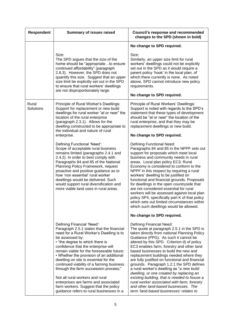| Respondent         | <b>Summary of issues raised</b>                                                                                                                                                                                                                                                                                                                                                                                                                                             | <b>Council's response and recommended</b><br>changes to the SPD (shown in bold)                                                                                                                                                                                                                                                                                                                                                                                                                                                                                                                                                                                   |
|--------------------|-----------------------------------------------------------------------------------------------------------------------------------------------------------------------------------------------------------------------------------------------------------------------------------------------------------------------------------------------------------------------------------------------------------------------------------------------------------------------------|-------------------------------------------------------------------------------------------------------------------------------------------------------------------------------------------------------------------------------------------------------------------------------------------------------------------------------------------------------------------------------------------------------------------------------------------------------------------------------------------------------------------------------------------------------------------------------------------------------------------------------------------------------------------|
|                    |                                                                                                                                                                                                                                                                                                                                                                                                                                                                             | No change to SPD required.                                                                                                                                                                                                                                                                                                                                                                                                                                                                                                                                                                                                                                        |
|                    | Size:<br>The SPD argues that the size of the<br>home should be "appropriateto ensure<br>continued affordability" (paragraph<br>2.8.3). However, the SPD does not<br>quantify this size. Suggest that an upper<br>size limit be explicitly set out in the SPD<br>to ensure that rural workers' dwellings<br>are not disproportionately large.                                                                                                                                | Size:<br>Similarly, an upper size limit for rural<br>workers' dwellings could not be explicitly<br>set out in the SPD as it would require a<br>parent policy 'hook' in the local plan, of<br>which there currently is none. As noted<br>above, SPD cannot introduce new policy<br>requirements.<br>No change to SPD required.                                                                                                                                                                                                                                                                                                                                     |
| Rural<br>Solutions | Principle of Rural Worker's Dwellings:<br>Support for replacement or new build<br>dwellings for rural worker "at or near" the<br>location of the rural enterprise<br>(paragraph 2.3.1). Allows for the<br>dwelling constructed to be appropriate to<br>the individual and nature of rural                                                                                                                                                                                   | Principle of Rural Workers' Dwellings:<br>Support is noted with regards to the SPD's<br>statement that these types of development<br>should be "at or near" the location of the<br>rural enterprise, and that they may be<br>replacement dwellings or new build.                                                                                                                                                                                                                                                                                                                                                                                                  |
|                    | enterprise.                                                                                                                                                                                                                                                                                                                                                                                                                                                                 | No change to SPD required.                                                                                                                                                                                                                                                                                                                                                                                                                                                                                                                                                                                                                                        |
|                    | Defining Functional 'Need':<br>Scope of acceptable rural business<br>remains limited (paragraphs 2.4.1 and<br>2.4.2). In order to best comply with<br>Paragraphs 84 and 85 of the National<br>Planning Policy Framework, request<br>proactive and positive guidance as to<br>how 'non essential' rural worker<br>dwellings would be delivered. Such<br>would support rural diversification and<br>more viable land uses in rural areas.                                     | Defining Functional Need:<br>Paragraphs 84 and 85 in the NPPF sets out<br>support for proposals which meet local<br>business and community needs in rural<br>areas. Local plan policy EC3: Rural<br>Economy is considered to conform to the<br>NPPF in this respect by requiring a rural<br>workers' dwelling to be justified on<br>functional and financial grounds. Proposals<br>for dwellings in the open countryside that<br>are not considered essential for rural<br>workers will be assessed against local plan<br>policy SP4, specifically part K of that policy<br>which sets out limited circumstances within<br>which such dwellings would be allowed. |
|                    |                                                                                                                                                                                                                                                                                                                                                                                                                                                                             | No change to SPD required.                                                                                                                                                                                                                                                                                                                                                                                                                                                                                                                                                                                                                                        |
|                    | Defining Financial 'Need':<br>Paragraph 2.5.1 states that the financial<br>need for a Rural Worker's Dwelling is to<br>be assessed by:<br>• "the degree to which there is<br>confidence that the enterprise will<br>remain viable for the foreseeable future;<br>• Whether the provision of an additional<br>dwelling on site is essential for the<br>continued viability of a farming business<br>through the farm succession process;"<br>Not all rural workers and rural | Defining Financial Need:<br>The quote at paragraph 2.5.1 in the SPD is<br>taken directly from national Planning Policy<br>Guidance (PPG). As such it cannot be<br>altered by this SPD. Criterion d) of policy<br>EC3 enables farm, forestry and other land<br>based businesses to build the new and<br>replacement buildings needed where they<br>are fully justified on functional and financial<br>grounds. Paragraph 1.2.1 the SPD defines<br>a rural worker's dwelling as "a new build<br>dwelling, or one created by replacing an<br>existing building, that is needed to house a                                                                            |
|                    | enterprises are farms and associated<br>farm workers. Suggest that the policy<br>guidance refers to rural businesses in a                                                                                                                                                                                                                                                                                                                                                   | rural worker associated with farm, forestry<br>and other land-based businesses. The<br>term 'land-based businesses' relates to                                                                                                                                                                                                                                                                                                                                                                                                                                                                                                                                    |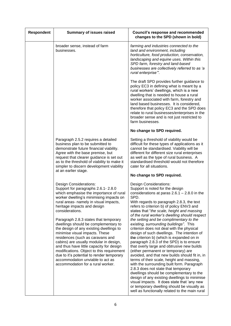| Respondent | <b>Summary of issues raised</b>                                                                                                                                                                                                                                                                                                                                                                                                                                                                                                                                                                                                                                                                                  | <b>Council's response and recommended</b><br>changes to the SPD (shown in bold)                                                                                                                                                                                                                                                                                                                                                                                                                                                                                                                                                                                                                                                                                                                                                                                                                                                                                                                                                                                                                                   |
|------------|------------------------------------------------------------------------------------------------------------------------------------------------------------------------------------------------------------------------------------------------------------------------------------------------------------------------------------------------------------------------------------------------------------------------------------------------------------------------------------------------------------------------------------------------------------------------------------------------------------------------------------------------------------------------------------------------------------------|-------------------------------------------------------------------------------------------------------------------------------------------------------------------------------------------------------------------------------------------------------------------------------------------------------------------------------------------------------------------------------------------------------------------------------------------------------------------------------------------------------------------------------------------------------------------------------------------------------------------------------------------------------------------------------------------------------------------------------------------------------------------------------------------------------------------------------------------------------------------------------------------------------------------------------------------------------------------------------------------------------------------------------------------------------------------------------------------------------------------|
|            | broader sense, instead of farm<br>businesses.                                                                                                                                                                                                                                                                                                                                                                                                                                                                                                                                                                                                                                                                    | farming and industries connected to the<br>land and environment, including<br>horticulture, food production, conservation,<br>landscaping and equine uses. Within this<br>SPD farm, forestry and land-based<br>businesses are collectively referred to as 'a<br>rural enterprise".                                                                                                                                                                                                                                                                                                                                                                                                                                                                                                                                                                                                                                                                                                                                                                                                                                |
|            |                                                                                                                                                                                                                                                                                                                                                                                                                                                                                                                                                                                                                                                                                                                  | The draft SPD provides further guidance to<br>policy EC3 in defining what is meant by a<br>rural workers' dwellings, which is a new<br>dwelling that is needed to house a rural<br>worker associated with farm, forestry and<br>land based businesses. It is considered,<br>therefore that policy EC3 and the SPD does<br>relate to rural businesses/enterprises in the<br>broader sense and is not just restricted to<br>farm businesses.                                                                                                                                                                                                                                                                                                                                                                                                                                                                                                                                                                                                                                                                        |
|            |                                                                                                                                                                                                                                                                                                                                                                                                                                                                                                                                                                                                                                                                                                                  | No change to SPD required.                                                                                                                                                                                                                                                                                                                                                                                                                                                                                                                                                                                                                                                                                                                                                                                                                                                                                                                                                                                                                                                                                        |
|            | Paragraph 2.5.2 requires a detailed<br>business plan to be submitted to<br>demonstrate future financial viability.<br>Agree with the base premise, but<br>request that clearer guidance is set out<br>as to the threshold of viability to make it<br>simpler to discern development viability<br>at an earlier stage.                                                                                                                                                                                                                                                                                                                                                                                            | Setting a threshold of viability would be<br>difficult for these types of applications as it<br>cannot be standardised. Viability will be<br>different for different size rural enterprises<br>as well as the type of rural business. A<br>standardised threshold would not therefore<br>cater for all situations.<br>No change to SPD required.                                                                                                                                                                                                                                                                                                                                                                                                                                                                                                                                                                                                                                                                                                                                                                  |
|            | <b>Design Considerations:</b><br>Support for paragraphs 2.6.1-2.8.0<br>which emphasise the importance of rural<br>worker dwelling's minimising impacts on<br>rural areas- namely in visual impacts,<br>heritage impacts and design<br>considerations.<br>Paragraph 2.8.3 states that temporary<br>dwellings should be complementary to<br>the design of any existing dwellings to<br>minimise visual impacts. These<br>residences (such as caravans and<br>cabins) are usually modular in design,<br>and thus have little capacity for design<br>modifications. Object to this requirement<br>due to it's potential to render temporary<br>accommodation unviable to act as<br>accommodation for a rural worker. | <b>Design Considerations:</b><br>Support is noted for the design<br>considerations at paras $2.6.1 - 2.8.0$ in the<br>SPD.<br>With regards to paragraph 2.8.3, the text<br>refers to criterion b) of policy ENV3 and<br>states that "the scale, height and massing<br>of the rural worker's dwelling should respect<br>the setting and be complimentary to the<br>existing, surrounding buildings". This<br>criterion does not deal with the physical<br>design of such dwellings. The intention of<br>the criterion b) (which is expanded on in<br>paragraph 2.8.3 of the SPD) is to ensure<br>that overly large and obtrusive new builds<br>(either permanent or temporary) are<br>avoided, and that new builds should fit in, in<br>terms of their scale, height and massing,<br>with the surrounding built form. Paragraph<br>2.8.3 does not state that temporary<br>dwellings should be complementary to the<br>design of any existing dwellings to minimise<br>visual impacts. It does state that 'any new<br>or temporary dwelling should be visually as<br>well as functionally related to the main rural |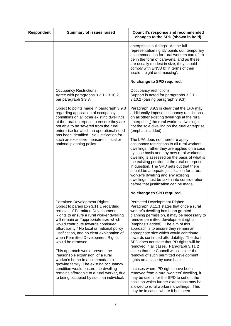| <b>Summary of issues raised</b>                                                                                                                                                                                                                                                                                                                                                                                                                                                                                                                                                                                                                                                         | <b>Council's response and recommended</b><br>changes to the SPD (shown in bold)                                                                                                                                                                                                                                                                                                                                                                                                                                                                                                                                                                                                                                                                                                                                                                                   |
|-----------------------------------------------------------------------------------------------------------------------------------------------------------------------------------------------------------------------------------------------------------------------------------------------------------------------------------------------------------------------------------------------------------------------------------------------------------------------------------------------------------------------------------------------------------------------------------------------------------------------------------------------------------------------------------------|-------------------------------------------------------------------------------------------------------------------------------------------------------------------------------------------------------------------------------------------------------------------------------------------------------------------------------------------------------------------------------------------------------------------------------------------------------------------------------------------------------------------------------------------------------------------------------------------------------------------------------------------------------------------------------------------------------------------------------------------------------------------------------------------------------------------------------------------------------------------|
|                                                                                                                                                                                                                                                                                                                                                                                                                                                                                                                                                                                                                                                                                         | enterprise's buildings'. As the full<br>representation rightly points out, temporary<br>accommodation for rural workers can often<br>be in the form of caravans, and as these<br>are usually modest in size, they should<br>comply with ENV3 b) in terms of their<br>'scale, height and massing'.                                                                                                                                                                                                                                                                                                                                                                                                                                                                                                                                                                 |
|                                                                                                                                                                                                                                                                                                                                                                                                                                                                                                                                                                                                                                                                                         | No change to SPD required.                                                                                                                                                                                                                                                                                                                                                                                                                                                                                                                                                                                                                                                                                                                                                                                                                                        |
| <b>Occupancy Restrictions:</b><br>Agree with paragraphs 3.2.1 - 3.10.2,<br>bar paragraph 3.9.3.                                                                                                                                                                                                                                                                                                                                                                                                                                                                                                                                                                                         | Occupancy restrictions:<br>Support is noted for paragraphs 3.2.1 -<br>3.10.2 (barring paragraph 3.9.3).                                                                                                                                                                                                                                                                                                                                                                                                                                                                                                                                                                                                                                                                                                                                                           |
| Object to points made in paragraph 3.9.3<br>regarding application of occupancy<br>conditions on all other existing dwellings<br>at the rural enterprise to ensure they are<br>not able to be severed from the rural<br>enterprise for which an operational need                                                                                                                                                                                                                                                                                                                                                                                                                         | Paragraph 3.9.3 is clear that the LPA may<br>additionally impose occupancy restrictions<br>on all other existing dwellings at the rural<br>enterprise if the rural workers' dwelling is<br>not the sole dwelling on the rural enterprise.<br>(emphasis added).                                                                                                                                                                                                                                                                                                                                                                                                                                                                                                                                                                                                    |
| such an excessive measure in local or<br>national planning policy.                                                                                                                                                                                                                                                                                                                                                                                                                                                                                                                                                                                                                      | The LPA does not therefore apply<br>occupancy restrictions to all rural workers'<br>dwellings, rather they are applied on a case<br>by case basis and any new rural worker's<br>dwelling is assessed on the basis of what is<br>the existing position at the rural enterprise<br>in question. The SPD sets out that there<br>should be adequate justification for a rural<br>worker's dwelling and any existing<br>dwellings must be taken into consideration<br>before that justification can be made.                                                                                                                                                                                                                                                                                                                                                           |
|                                                                                                                                                                                                                                                                                                                                                                                                                                                                                                                                                                                                                                                                                         | No change to SPD required.                                                                                                                                                                                                                                                                                                                                                                                                                                                                                                                                                                                                                                                                                                                                                                                                                                        |
| <b>Permitted Development Rights:</b><br>Object to paragraph 3.11.1 regarding<br>removal of Permitted Development<br>Rights to ensure a rural worker dwelling<br>will remain an "appropriate size which<br>would contribute towards continued<br>affordability." No local or national policy<br>justification, and no clear explanation of<br>when Permitted Development Rights<br>would be removed.<br>This approach would prevent the<br>'reasonable expansion' of a rural<br>worker's home to accommodate a<br>growing family. The existing occupancy<br>condition would ensure the dwelling<br>remains affordable to a rural worker, due<br>to being occupied by such an individual. | <b>Permitted Development Rights:</b><br>Paragraph 3.11.1 states that once a rural<br>worker's dwelling has been granted<br>planning permission, it may be necessary to<br>remove permitted development rights<br>(emphasis added). The aim of this<br>approach is to ensure they remain an<br>appropriate size which would contribute<br>towards continued affordability. The draft<br>SPD does not state that PD rights will be<br>removed in all cases. Paragraph 3.11.2<br>states that the Council will consider the<br>removal of such permitted development<br>rights on a case by case basis.<br>In cases where PD rights have been<br>removed from a rural workers' dwelling, it<br>may be useful for the SPD to set out the<br>basis on which further extensions may be<br>allowed to rural workers' dwellings. This<br>may be in cases where it has been |
|                                                                                                                                                                                                                                                                                                                                                                                                                                                                                                                                                                                                                                                                                         | has been identified. No justification for                                                                                                                                                                                                                                                                                                                                                                                                                                                                                                                                                                                                                                                                                                                                                                                                                         |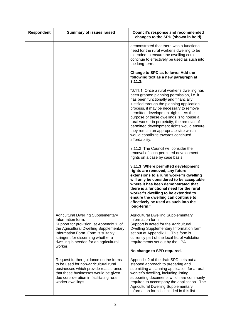| Respondent | <b>Summary of issues raised</b>                                                                                                                                                                                                                                                         | <b>Council's response and recommended</b><br>changes to the SPD (shown in bold)                                                                                                                                                                                                                                                                                                                                                                                                                          |
|------------|-----------------------------------------------------------------------------------------------------------------------------------------------------------------------------------------------------------------------------------------------------------------------------------------|----------------------------------------------------------------------------------------------------------------------------------------------------------------------------------------------------------------------------------------------------------------------------------------------------------------------------------------------------------------------------------------------------------------------------------------------------------------------------------------------------------|
|            |                                                                                                                                                                                                                                                                                         | demonstrated that there was a functional<br>need for the rural worker's dwelling to be<br>extended to ensure the dwelling could<br>continue to effectively be used as such into<br>the long-term.                                                                                                                                                                                                                                                                                                        |
|            |                                                                                                                                                                                                                                                                                         | Change to SPD as follows: Add the<br>following text as a new paragraph at<br>3.11.3:                                                                                                                                                                                                                                                                                                                                                                                                                     |
|            |                                                                                                                                                                                                                                                                                         | "3.11.1 Once a rural worker's dwelling has<br>been granted planning permission, i.e. it<br>has been functionally and financially<br>justified through the planning application<br>process, it may be necessary to remove<br>permitted development rights. As the<br>purpose of these dwellings is to house a<br>rural worker in perpetuity, the removal of<br>permitted development rights would ensure<br>they remain an appropriate size which<br>would contribute towards continued<br>affordability. |
|            |                                                                                                                                                                                                                                                                                         | 3.11.2 The Council will consider the<br>removal of such permitted development<br>rights on a case by case basis.                                                                                                                                                                                                                                                                                                                                                                                         |
|            |                                                                                                                                                                                                                                                                                         | 3.11.3 Where permitted development<br>rights are removed, any future<br>extensions to a rural worker's dwelling<br>will only be considered to be acceptable<br>where it has been demonstrated that<br>there is a functional need for the rural<br>worker's dwelling to be extended to<br>ensure the dwelling can continue to<br>effectively be used as such into the<br>long-term."                                                                                                                      |
|            | <b>Agricultural Dwelling Supplementary</b><br>Information form:<br>Support for provision, at Appendix 1, of<br>the Agricultural Dwelling Supplementary<br>Information Form. Form is suitably<br>stringent for discerning whether a<br>dwelling is needed for an agricultural<br>worker. | <b>Agricultural Dwelling Supplementary</b><br>Information form:<br>Support is noted for the Agricultural<br>Dwelling Supplementary Information form<br>set out at Appendix 1. This form is<br>currently part of the local list of validation<br>requirements set out by the LPA.                                                                                                                                                                                                                         |
|            |                                                                                                                                                                                                                                                                                         | No change to SPD required.                                                                                                                                                                                                                                                                                                                                                                                                                                                                               |
|            | Request further guidance on the forms<br>to be used for non-agricultural rural<br>businesses which provide reassurance<br>that these businesses would be given<br>due consideration in facilitating rural<br>worker dwellings.                                                          | Appendix 2 of the draft SPD sets out a<br>stepped approach to preparing and<br>submitting a planning application for a rural<br>worker's dwelling, including listing<br>supporting documents which are commonly<br>required to accompany the application. The<br><b>Agricultural Dwelling Supplementary</b><br>Information form is included in this list.                                                                                                                                                |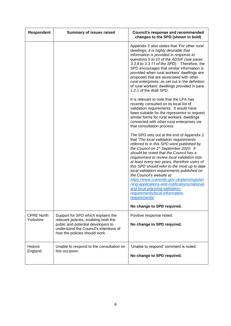| <b>Respondent</b>              | <b>Summary of issues raised</b>                                                                                                                                                             | <b>Council's response and recommended</b><br>changes to the SPD (shown in bold)                                                                                                                                                                                                                                                                                                                                                                                                                                                                                                                                                    |
|--------------------------------|---------------------------------------------------------------------------------------------------------------------------------------------------------------------------------------------|------------------------------------------------------------------------------------------------------------------------------------------------------------------------------------------------------------------------------------------------------------------------------------------------------------------------------------------------------------------------------------------------------------------------------------------------------------------------------------------------------------------------------------------------------------------------------------------------------------------------------------|
|                                |                                                                                                                                                                                             | Appendix 2 also states that 'For other rural<br>dwellings, it is highly desirable that<br>information is provided in response to<br>questions 5 to 10 of the ADSIF (see paras<br>3.3.8 to 3.3.11 of the SPD).' Therefore, the<br>SPD encourages that similar information is<br>provided when rural workers' dwellings are<br>proposed that are associated with other<br>rural enterprises, as set out in the definition<br>of rural workers' dwellings provided in para<br>1.2.1 of the draft SPD.                                                                                                                                 |
|                                |                                                                                                                                                                                             | It is relevant to note that the LPA has<br>recently consulted on its local list of<br>validation requirements. It would have<br>been suitable for the representor to request<br>similar forms for rural workers' dwellings<br>connected with other rural enterprises via<br>that consultation process.                                                                                                                                                                                                                                                                                                                             |
|                                |                                                                                                                                                                                             | The SPD sets out at the end of Appendix 2<br>that 'The local validation requirements<br>referred to in this SPD were published by<br>the Council on 1st September 2020. It<br>should be noted that the Council has a<br>requirement to review local validation lists<br>at least every two years, therefore users of<br>this SPD should refer to the most up to date<br>local validation requirements published on<br>the Council's website at<br>https://www.cravendc.gov.uk/planning/plan<br>ning-applications-and-notifications/national-<br>and-local-planning-validation-<br>requirements/local-information-<br>requirements/ |
|                                |                                                                                                                                                                                             | No change to SPD required.                                                                                                                                                                                                                                                                                                                                                                                                                                                                                                                                                                                                         |
| <b>CPRE North</b><br>Yorkshire | Support for SPD which explains the<br>relevant policies, enabling both the<br>public and potential developers to<br>understand the Council's intentions of<br>how the policies should work. | Positive response noted.<br>No change to SPD required.                                                                                                                                                                                                                                                                                                                                                                                                                                                                                                                                                                             |
| <b>Historic</b><br>England     | Unable to respond to the consultation on<br>this occasion.                                                                                                                                  | 'Unable to respond' comment is noted.<br>No change to SPD required.                                                                                                                                                                                                                                                                                                                                                                                                                                                                                                                                                                |